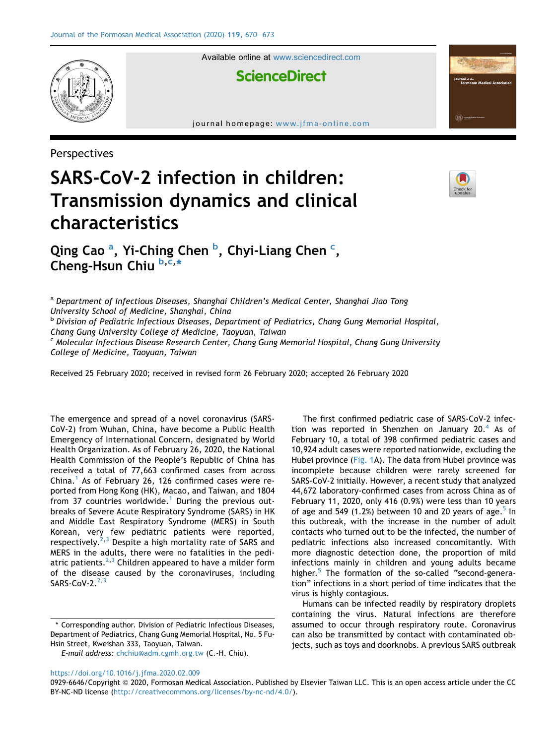

Available online at [www.sciencedirect.com](www.sciencedirect.com/science/journal/09296646)

## **ScienceDirect**

journal homepage: [www.jfma-online.com](http://www.jfma-online.com)

Perspectives



## SARS-CoV-2 infection in children: Transmission dynamics and clinical characteristics

Qing C[a](#page-0-0)o<sup>a</sup>, Yi-Ching Chen <sup>[b](#page-0-1)</sup>, Chyi-Liang Chen <sup>[c](#page-0-2)</sup>, Cheng-Hsun Chiu [b](#page-0-1), [c](#page-0-2),[\\*](#page-0-3)

<span id="page-0-1"></span><span id="page-0-0"></span>a Department of Infectious Diseases, Shanghai Children's Medical Center, Shanghai Jiao Tong University School of Medicine, Shanghai, China **b Division of Pediatric Infectious Diseases, Department of Pediatrics, Chang Gung Memorial Hospital,** Chang Gung University College of Medicine, Taoyuan, Taiwan <sup>c</sup> Molecular Infectious Disease Research Center, Chang Gung Memorial Hospital, Chang Gung University College of Medicine, Taoyuan, Taiwan

<span id="page-0-2"></span>Received 25 February 2020; received in revised form 26 February 2020; accepted 26 February 2020

The emergence and spread of a novel coronavirus (SARS-CoV-2) from Wuhan, China, have become a Public Health Emergency of International Concern, designated by World Health Organization. As of February 26, 2020, the National Health Commission of the People's Republic of China has received a total of 77,663 confirmed cases from across China. $<sup>1</sup>$  $<sup>1</sup>$  $<sup>1</sup>$  As of February 26, 126 confirmed cases were re-</sup> ported from Hong Kong (HK), Macao, and Taiwan, and 1804 from 37 countries worldwide. $1$  During the previous outbreaks of Severe Acute Respiratory Syndrome (SARS) in HK and Middle East Respiratory Syndrome (MERS) in South Korean, very few pediatric patients were reported, respectively. $2,3$  $2,3$  $2,3$  Despite a high mortality rate of SARS and MERS in the adults, there were no fatalities in the pedi-atric patients.<sup>[2](#page-3-1),[3](#page-3-2)</sup> Children appeared to have a milder form of the disease caused by the coronaviruses, including SARS-CoV- $2.^2,3$  $2.^2,3$  $2.^2,3$ 

The first confirmed pediatric case of SARS-CoV-2 infec-tion was reported in Shenzhen on January 20.<sup>[4](#page-3-3)</sup> As of February 10, a total of 398 confirmed pediatric cases and 10,924 adult cases were reported nationwide, excluding the Hubei province ([Fig. 1A](#page-1-0)). The data from Hubei province was incomplete because children were rarely screened for SARS-CoV-2 initially. However, a recent study that analyzed 44,672 laboratory-confirmed cases from across China as of February 11, 2020, only 416 (0.9%) were less than 10 years of age and [5](#page-3-4)49 (1.2%) between 10 and 20 years of age.<sup>5</sup> In this outbreak, with the increase in the number of adult contacts who turned out to be the infected, the number of pediatric infections also increased concomitantly. With more diagnostic detection done, the proportion of mild infections mainly in children and young adults became higher. $5$  The formation of the so-called "second-generation" infections in a short period of time indicates that the virus is highly contagious.

Humans can be infected readily by respiratory droplets containing the virus. Natural infections are therefore assumed to occur through respiratory route. Coronavirus can also be transmitted by contact with contaminated objects, such as toys and doorknobs. A previous SARS outbreak

<span id="page-0-3"></span><sup>\*</sup> Corresponding author. Division of Pediatric Infectious Diseases, Department of Pediatrics, Chang Gung Memorial Hospital, No. 5 Fu-Hsin Street, Kweishan 333, Taoyuan, Taiwan.

E-mail address: [chchiu@adm.cgmh.org.tw](mailto:chchiu@adm.cgmh.org.tw) (C.-H. Chiu).

<https://doi.org/10.1016/j.jfma.2020.02.009>

<sup>0929-6646/</sup>Copyright © 2020, Formosan Medical Association. Published by Elsevier Taiwan LLC. This is an open access article under the CC BY-NC-ND license [\(http://creativecommons.org/licenses/by-nc-nd/4.0/\)](http://creativecommons.org/licenses/by-nc-nd/4.0/).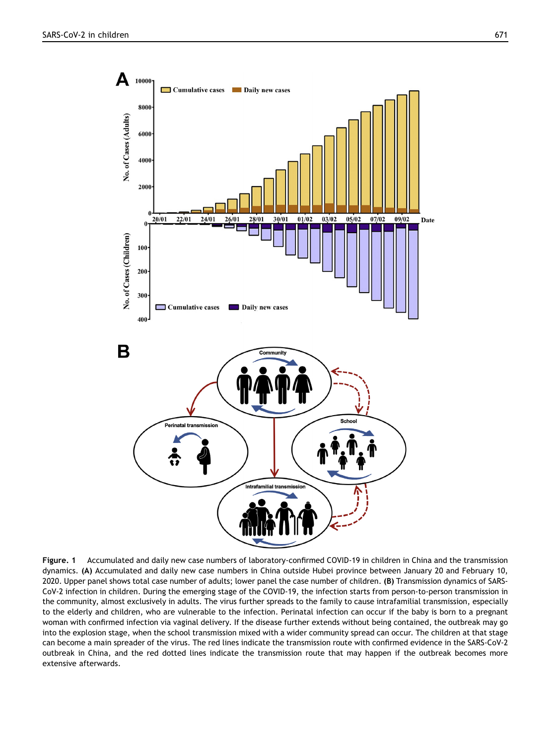<span id="page-1-0"></span>

Figure. 1 Accumulated and daily new case numbers of laboratory-confirmed COVID-19 in children in China and the transmission dynamics. (A) Accumulated and daily new case numbers in China outside Hubei province between January 20 and February 10, 2020. Upper panel shows total case number of adults; lower panel the case number of children. (B) Transmission dynamics of SARS-CoV-2 infection in children. During the emerging stage of the COVID-19, the infection starts from person-to-person transmission in the community, almost exclusively in adults. The virus further spreads to the family to cause intrafamilial transmission, especially to the elderly and children, who are vulnerable to the infection. Perinatal infection can occur if the baby is born to a pregnant woman with confirmed infection via vaginal delivery. If the disease further extends without being contained, the outbreak may go into the explosion stage, when the school transmission mixed with a wider community spread can occur. The children at that stage can become a main spreader of the virus. The red lines indicate the transmission route with confirmed evidence in the SARS-CoV-2 outbreak in China, and the red dotted lines indicate the transmission route that may happen if the outbreak becomes more extensive afterwards.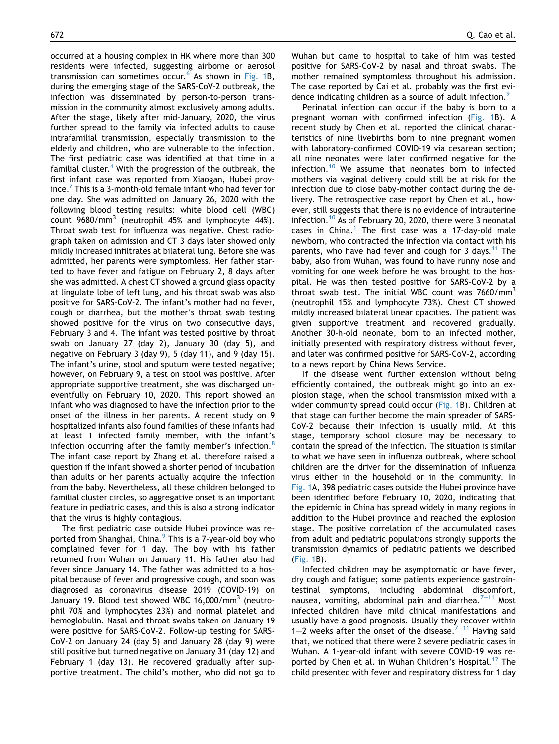occurred at a housing complex in HK where more than 300 residents were infected, suggesting airborne or aerosol transmission can sometimes occur. $6$  As shown in [Fig. 1](#page-1-0)B, during the emerging stage of the SARS-CoV-2 outbreak, the infection was disseminated by person-to-person transmission in the community almost exclusively among adults. After the stage, likely after mid-January, 2020, the virus further spread to the family via infected adults to cause intrafamilial transmission, especially transmission to the elderly and children, who are vulnerable to the infection. The first pediatric case was identified at that time in a familial cluster.<sup>[4](#page-3-3)</sup> With the progression of the outbreak, the first infant case was reported from Xiaogan, Hubei prov- $\text{ince.}^7$  $\text{ince.}^7$  This is a 3-month-old female infant who had fever for one day. She was admitted on January 26, 2020 with the following blood testing results: white blood cell (WBC) count  $9680/mm^3$  (neutrophil 45% and lymphocyte 44%). Throat swab test for influenza was negative. Chest radiograph taken on admission and CT 3 days later showed only mildly increased infiltrates at bilateral lung. Before she was admitted, her parents were symptomless. Her father started to have fever and fatigue on February 2, 8 days after she was admitted. A chest CT showed a ground glass opacity at lingulate lobe of left lung, and his throat swab was also positive for SARS-CoV-2. The infant's mother had no fever, cough or diarrhea, but the mother's throat swab testing showed positive for the virus on two consecutive days, February 3 and 4. The infant was tested positive by throat swab on January 27 (day 2), January 30 (day 5), and negative on February 3 (day 9), 5 (day 11), and 9 (day 15). The infant's urine, stool and sputum were tested negative; however, on February 9, a test on stool was positive. After appropriate supportive treatment, she was discharged uneventfully on February 10, 2020. This report showed an infant who was diagnosed to have the infection prior to the onset of the illness in her parents. A recent study on 9 hospitalized infants also found families of these infants had at least 1 infected family member, with the infant's infection occurring after the family member's infection.<sup>[8](#page-3-7)</sup> The infant case report by Zhang et al. therefore raised a question if the infant showed a shorter period of incubation than adults or her parents actually acquire the infection from the baby. Nevertheless, all these children belonged to familial cluster circles, so aggregative onset is an important feature in pediatric cases, and this is also a strong indicator that the virus is highly contagious.

The first pediatric case outside Hubei province was reported from Shanghai, China.<sup>9</sup> This is a 7-year-old boy who complained fever for 1 day. The boy with his father returned from Wuhan on January 11. His father also had fever since January 14. The father was admitted to a hospital because of fever and progressive cough, and soon was diagnosed as coronavirus disease 2019 (COVID-19) on January 19. Blood test showed WBC 16,000/mm<sup>3</sup> (neutrophil 70% and lymphocytes 23%) and normal platelet and hemoglobulin. Nasal and throat swabs taken on January 19 were positive for SARS-CoV-2. Follow-up testing for SARS-CoV-2 on January 24 (day 5) and January 28 (day 9) were still positive but turned negative on January 31 (day 12) and February 1 (day 13). He recovered gradually after supportive treatment. The child's mother, who did not go to Wuhan but came to hospital to take of him was tested positive for SARS-CoV-2 by nasal and throat swabs. The mother remained symptomless throughout his admission. The case reported by Cai et al. probably was the first evi-dence indicating children as a source of adult infection.<sup>[9](#page-3-8)</sup>

Perinatal infection can occur if the baby is born to a pregnant woman with confirmed infection ([Fig. 1](#page-1-0)B). A recent study by Chen et al. reported the clinical characteristics of nine livebirths born to nine pregnant women with laboratory-confirmed COVID-19 via cesarean section; all nine neonates were later confirmed negative for the infection.<sup>[10](#page-3-9)</sup> We assume that neonates born to infected mothers via vaginal delivery could still be at risk for the infection due to close baby-mother contact during the delivery. The retrospective case report by Chen et al., however, still suggests that there is no evidence of intrauterine infection.<sup>[10](#page-3-9)</sup> As of February 20, 2020, there were 3 neonatal cases in China.<sup>[1](#page-3-0)</sup> The first case was a 17-day-old male newborn, who contracted the infection via contact with his parents, who have had fever and cough for 3 days.<sup>[11](#page-3-10)</sup> The baby, also from Wuhan, was found to have runny nose and vomiting for one week before he was brought to the hospital. He was then tested positive for SARS-CoV-2 by a throat swab test. The initial WBC count was  $7660/\text{mm}^3$ (neutrophil 15% and lymphocyte 73%). Chest CT showed mildly increased bilateral linear opacities. The patient was given supportive treatment and recovered gradually. Another 30-h-old neonate, born to an infected mother, initially presented with respiratory distress without fever, and later was confirmed positive for SARS-CoV-2, according to a news report by China News Service.

If the disease went further extension without being efficiently contained, the outbreak might go into an explosion stage, when the school transmission mixed with a wider community spread could occur [\(Fig. 1](#page-1-0)B). Children at that stage can further become the main spreader of SARS-CoV-2 because their infection is usually mild. At this stage, temporary school closure may be necessary to contain the spread of the infection. The situation is similar to what we have seen in influenza outbreak, where school children are the driver for the dissemination of influenza virus either in the household or in the community. In [Fig. 1A](#page-1-0), 398 pediatric cases outside the Hubei province have been identified before February 10, 2020, indicating that the epidemic in China has spread widely in many regions in addition to the Hubei province and reached the explosion stage. The positive correlation of the accumulated cases from adult and pediatric populations strongly supports the transmission dynamics of pediatric patients we described [\(Fig. 1B](#page-1-0)).

Infected children may be asymptomatic or have fever, dry cough and fatigue; some patients experience gastrointestinal symptoms, including abdominal discomfort, nausea, vomiting, abdominal pain and diarrhea. $7-11$  $7-11$  $7-11$  Most infected children have mild clinical manifestations and usually have a good prognosis. Usually they recover within 1-2 weeks after the onset of the disease. $7-11$  $7-11$  $7-11$  Having said that, we noticed that there were 2 severe pediatric cases in Wuhan. A 1-year-old infant with severe COVID-19 was re-ported by Chen et al. in Wuhan Children's Hospital.<sup>[12](#page-3-11)</sup> The child presented with fever and respiratory distress for 1 day